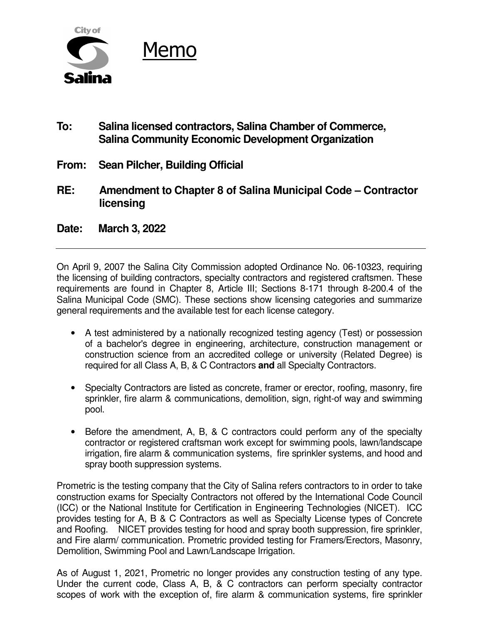

- **To: Salina licensed contractors, Salina Chamber of Commerce, Salina Community Economic Development Organization**
- **From: Sean Pilcher, Building Official**
- **RE: Amendment to Chapter 8 of Salina Municipal Code Contractor licensing**
- **Date: March 3, 2022**

On April 9, 2007 the Salina City Commission adopted Ordinance No. 06-10323, requiring the licensing of building contractors, specialty contractors and registered craftsmen. These requirements are found in Chapter 8, Article III; Sections 8-171 through 8-200.4 of the Salina Municipal Code (SMC). These sections show licensing categories and summarize general requirements and the available test for each license category.

- A test administered by a nationally recognized testing agency (Test) or possession of a bachelor's degree in engineering, architecture, construction management or construction science from an accredited college or university (Related Degree) is required for all Class A, B, & C Contractors **and** all Specialty Contractors.
- Specialty Contractors are listed as concrete, framer or erector, roofing, masonry, fire sprinkler, fire alarm & communications, demolition, sign, right-of way and swimming pool.
- Before the amendment, A, B, & C contractors could perform any of the specialty contractor or registered craftsman work except for swimming pools, lawn/landscape irrigation, fire alarm & communication systems, fire sprinkler systems, and hood and spray booth suppression systems.

Prometric is the testing company that the City of Salina refers contractors to in order to take construction exams for Specialty Contractors not offered by the International Code Council (ICC) or the National Institute for Certification in Engineering Technologies (NICET). ICC provides testing for A, B & C Contractors as well as Specialty License types of Concrete and Roofing. NICET provides testing for hood and spray booth suppression, fire sprinkler, and Fire alarm/ communication. Prometric provided testing for Framers/Erectors, Masonry, Demolition, Swimming Pool and Lawn/Landscape Irrigation.

As of August 1, 2021, Prometric no longer provides any construction testing of any type. Under the current code, Class A, B, & C contractors can perform specialty contractor scopes of work with the exception of, fire alarm & communication systems, fire sprinkler